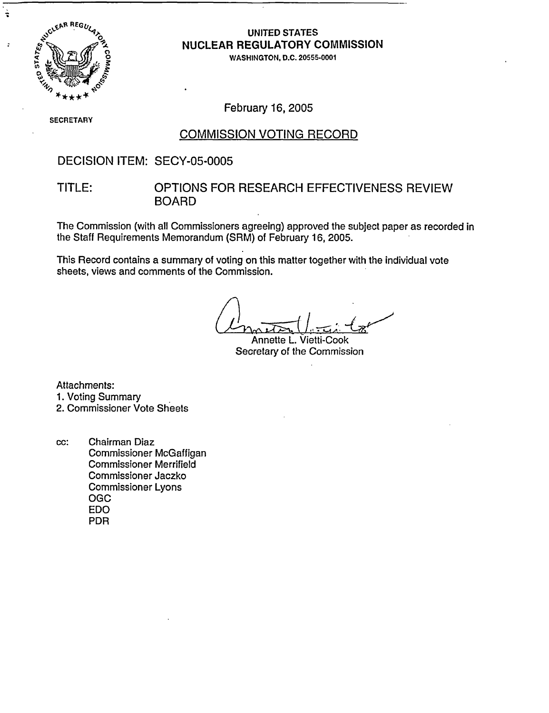

्रे

### UNITED STATES NUCLEAR REGULATORY COMMISSION

WASHINGTON, D.C. 20555-0001

S SECRETARY

February 16, 2005

#### COMMISSION VOTING RECORD

### DECISION ITEM: SECY-05-0005

#### TITLE: OPTIONS FOR RESEARCH EFFECTIVENESS REVIEW BOARD

The Commission (with all Commissioners agreeing) approved the subject paper as recorded in the Staff Requirements Memorandum (SRM) of February 16, 2005.

This Record contains a summary of voting on this matter together with the individual vote sheets, views and comments of the Commission.

Annette L. Vietti-Cook Secretary of the Commission

Attachments: 1. Voting Summary 2. Commissioner Vote Sheets

cc: Chairman Diaz Commissioner McGaffigan Commissioner Merrifield Commissioner Jaczko Commissioner Lyons OGC EDO PDR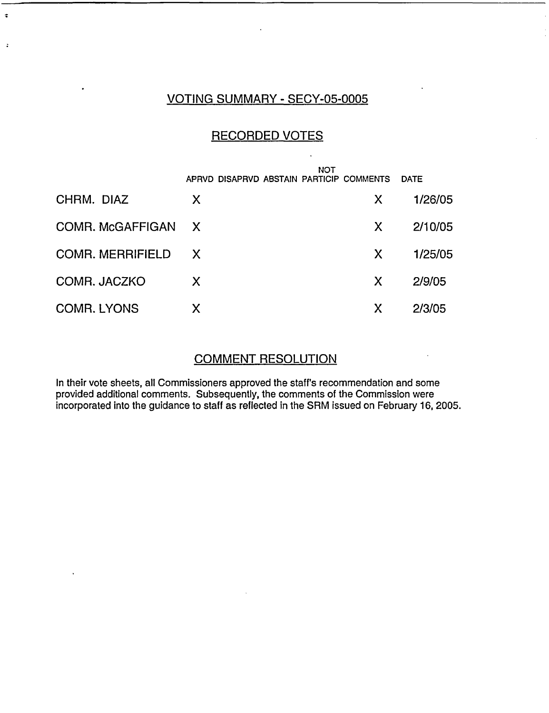### VOTING SUMMARY - SECY-05-0005

 $\ddot{\bullet}$ 

 $\ddot{\cdot}$ 

### RECORDED VOTES

|                         | <b>NOT</b>                               |              |             |
|-------------------------|------------------------------------------|--------------|-------------|
|                         | APRVD DISAPRVD ABSTAIN PARTICIP COMMENTS |              | <b>DATE</b> |
| CHRM. DIAZ              | X                                        | X.           | 1/26/05     |
| COMR. McGAFFIGAN X      |                                          | $\mathsf{X}$ | 2/10/05     |
| <b>COMR. MERRIFIELD</b> | X                                        | X            | 1/25/05     |
| COMR. JACZKO            | X                                        | X            | 2/9/05      |
| <b>COMR. LYONS</b>      | Χ                                        | X            | 2/3/05      |

### COMMENT RESOLUTION

In their vote sheets, all Commissioners approved the staff's recommendation and some provided additional comments. Subsequently, the comments of the Commission were incorporated into the guidance to staff as reflected in the SRM issued on February 16, 2005.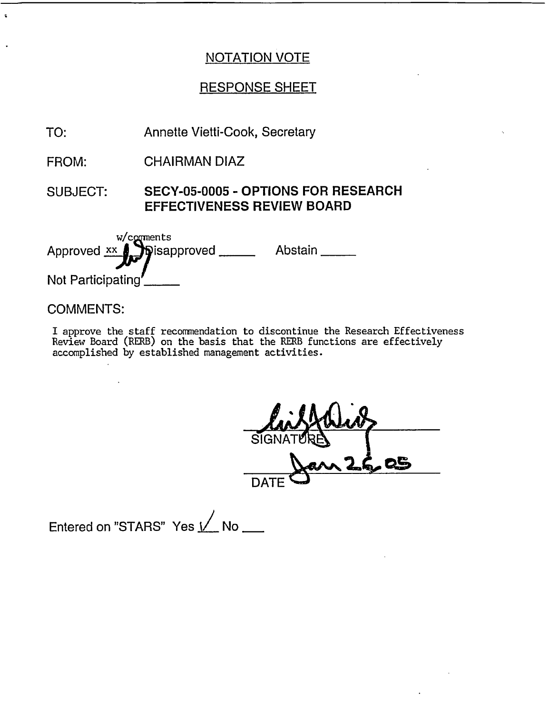### RESPONSE SHEET

Annette Vietti-Cook, Secretary TO:

CHAIRMAN DIAZ FROM:

SUBJECT: **SECY-05-0005 - OPTIONS FOR RESEARCH EFFECTIVENESS REVIEW BOARD**

**W/comments** Approved **xx** Not Participating sisapproved \_\_\_\_\_\_\_ Abstain \_\_\_\_\_  $\mathbf{r}$ 

### COMMENTS:

 $\ddot{\phantom{a}}$ 

I approve the staff recommendation to discontinue the Research Effectiveness Review Board (RERB) on the basis that the RERB functions are effectively accomplished by established management activities.

SIGNATURE  $\mathsf{DATE}$ 

Entered on "STARS" Yes **I** No \_\_\_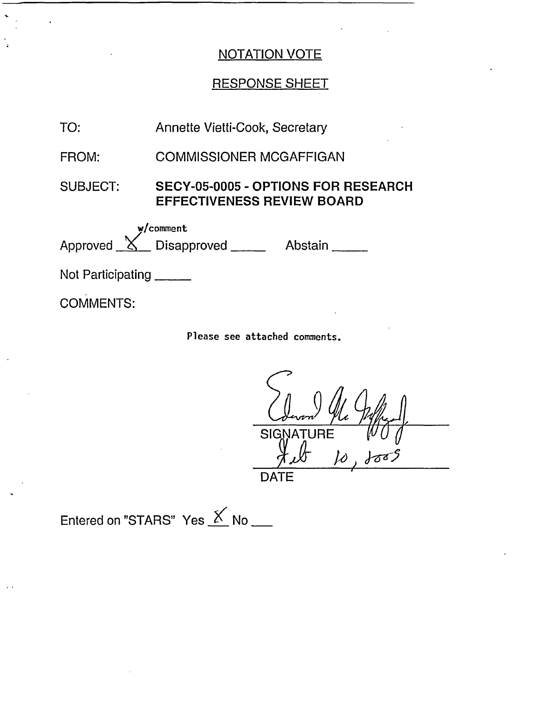## RESPONSE SHEET

| TO:                                                                                                                                                                                                                                                                                                                                                                                                               | Annette Vietti-Cook, Secretary                                                  |         |  |
|-------------------------------------------------------------------------------------------------------------------------------------------------------------------------------------------------------------------------------------------------------------------------------------------------------------------------------------------------------------------------------------------------------------------|---------------------------------------------------------------------------------|---------|--|
| FROM:                                                                                                                                                                                                                                                                                                                                                                                                             | <b>COMMISSIONER MCGAFFIGAN</b>                                                  |         |  |
| SUBJECT:                                                                                                                                                                                                                                                                                                                                                                                                          | <b>SECY-05-0005 - OPTIONS FOR RESEARCH</b><br><b>EFFECTIVENESS REVIEW BOARD</b> |         |  |
|                                                                                                                                                                                                                                                                                                                                                                                                                   | w/comment<br>Approved <u>X</u> Disapproved                                      | Abstain |  |
| Not Participating $\frac{1}{\sqrt{1-\frac{1}{\sqrt{1-\frac{1}{\sqrt{1-\frac{1}{\sqrt{1-\frac{1}{\sqrt{1-\frac{1}{\sqrt{1-\frac{1}{\sqrt{1-\frac{1}{\sqrt{1-\frac{1}{\sqrt{1-\frac{1}{\sqrt{1-\frac{1}{\sqrt{1-\frac{1}{\sqrt{1-\frac{1}{\sqrt{1-\frac{1}{\sqrt{1-\frac{1}{\sqrt{1-\frac{1}{\sqrt{1-\frac{1}{\sqrt{1-\frac{1}{\sqrt{1-\frac{1}{\sqrt{1-\frac{1}{\sqrt{1-\frac{1}{\sqrt{1-\frac{1}{\sqrt{1-\frac{1$ |                                                                                 |         |  |
| <b>COMMENTS:</b>                                                                                                                                                                                                                                                                                                                                                                                                  |                                                                                 |         |  |

**Please see attached comments.**

I- **/jx ,** wo - **SIGNATURE**  $1005$ *)*  $\mu$ - DATE

Entered on "STARS" Yes  $K$  No  $\_\_$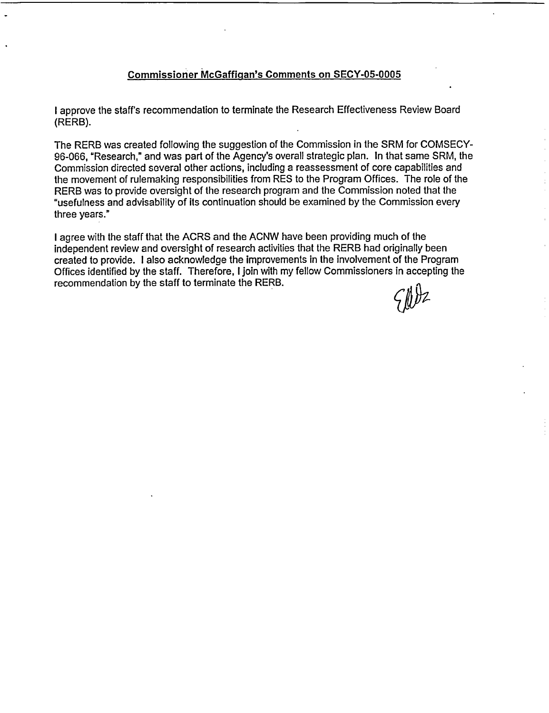#### **Commissioner McGaffigan's Comments on SECY-05-0005**

I approve the staff's recommendation to terminate the Research Effectiveness Review Board (RERB).

The RERB was created following the suggestion of the Commission in the SRM for COMSECY-96-066, "Research," and was part of the Agency's overall strategic plan. In that same SRM, the Commission directed several other actions, including a reassessment of core capabilities and the movement of rulemaking responsibilities from RES to the Program Offices. The role of the RERB was to provide oversight of the research program and the Commission noted that the "usefulness and advisability of its continuation should be examined by the Commission every three years."

I agree with the staff that the ACRS and the ACNW have been providing much of the independent review and oversight of research activities that the RERB had originally been created to provide. I also acknowledge the improvements in the involvement of the Program Offices identified by the staff. Therefore, I join with my fellow Commissioners in accepting the recommendation by the staff to terminate the RERB.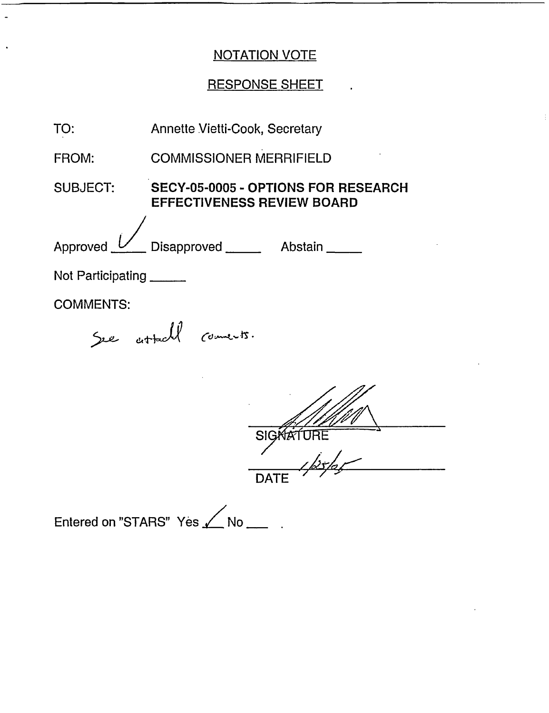## RESPONSE SHEET .

| TO:               | <b>Annette Vietti-Cook, Secretary</b>                                    |  |
|-------------------|--------------------------------------------------------------------------|--|
| FROM:             | <b>COMMISSIONER MERRIFIELD</b>                                           |  |
| <b>SUBJECT:</b>   | SECY-05-0005 - OPTIONS FOR RESEARCH<br><b>EFFECTIVENESS REVIEW BOARD</b> |  |
| Approved          | Disapproved ______<br>Abstain _____                                      |  |
| Not Participating |                                                                          |  |
| <b>COMMENTS:</b>  |                                                                          |  |
|                   | See attacht comments.                                                    |  |
|                   |                                                                          |  |
|                   |                                                                          |  |
|                   | <b>SIGA</b>                                                              |  |
|                   |                                                                          |  |

Entered on "STARS" Yes <a>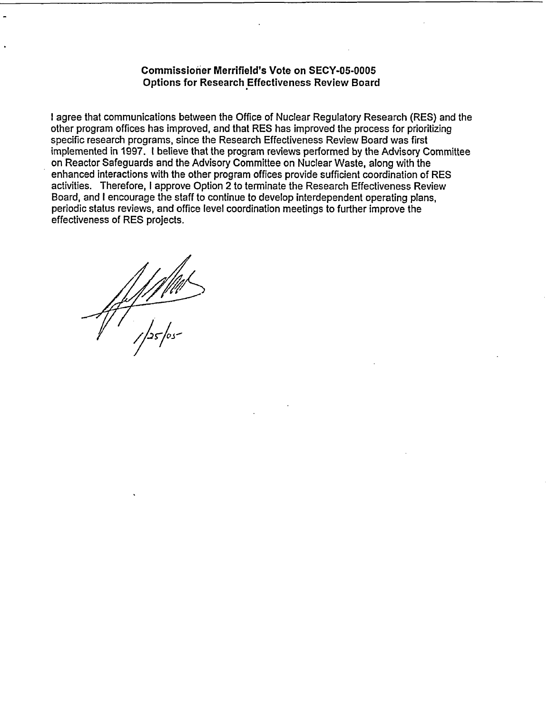#### **Commissioner Merrifield's Vote on SECY-05-0005 Options for Research Effectiveness Review Board**

I agree that communications between the Office of Nuclear Regulatory Research (RES) and the other program offices has improved, and that RES has improved the process for prioritizing specific research programs, since the Research Effectiveness Review Board was first implemented in 1997. 1 believe that the program reviews performed by the Advisory Committee on Reactor Safeguards and the Advisory Committee on Nuclear Waste, along with the enhanced interactions with the other program offices provide sufficient coordination of RES activities. Therefore, I approve Option 2 to terminate the Research Effectiveness Review Board, and I encourage the staff to continue to develop interdependent operating plans, periodic status reviews, and office level coordination meetings to further improve the effectiveness of RES projects.

 $\frac{1}{1}$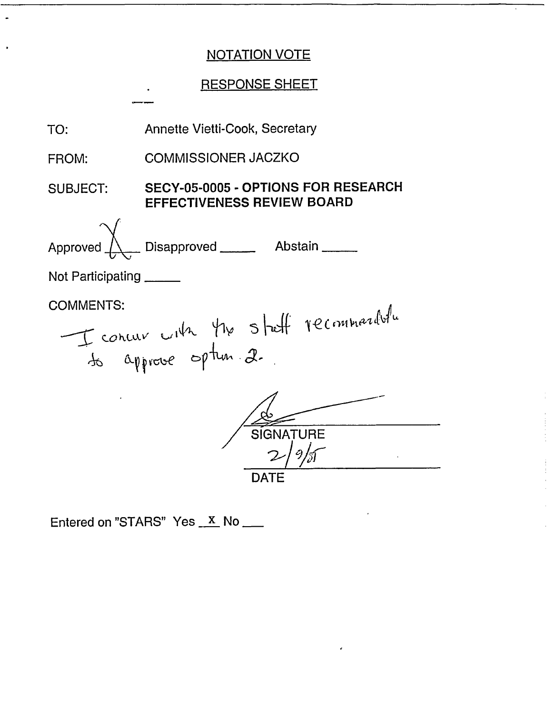## **RESPONSE SHEET**



Entered on "STARS" Yes X No \_\_